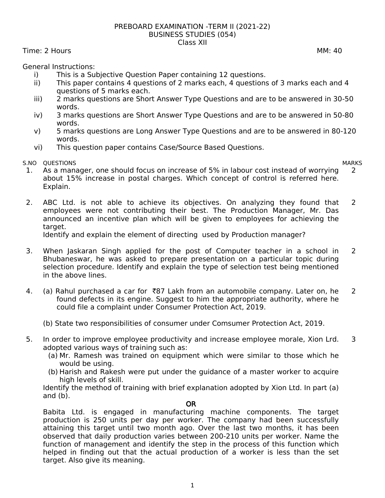## PREBOARD EXAMINATION -TERM II (2021-22) BUSINESS STUDIES (054) Class XII

Time: 2 Hours MM: 40

General Instructions:

- i) This is a Subjective Question Paper containing 12 questions.
- ii) This paper contains 4 questions of 2 marks each, 4 questions of 3 marks each and 4 questions of 5 marks each.
- iii) 2 marks questions are Short Answer Type Questions and are to be answered in 30-50 words.
- iv) 3 marks questions are Short Answer Type Questions and are to be answered in 50-80 words.
- v) 5 marks questions are Long Answer Type Questions and are to be answered in 80-120 words.
- vi) This question paper contains Case/Source Based Questions.

S.NO QUESTIONS MARKS

- 1. As a manager, one should focus on increase of 5% in labour cost instead of worrying about 15% increase in postal charges. Which concept of control is referred here. Explain. 2
- 2. ABC Ltd. is not able to achieve its objectives. On analyzing they found that employees were not contributing their best. The Production Manager, Mr. Das announced an incentive plan which will be given to employees for achieving the target. 2

Identify and explain the element of directing used by Production manager?

- 3. When Jaskaran Singh applied for the post of Computer teacher in a school in Bhubaneswar, he was asked to prepare presentation on a particular topic during selection procedure. Identify and explain the type of selection test being mentioned in the above lines.  $\overline{2}$
- 4. (a) Rahul purchased a car for  $\bar{z}87$  Lakh from an automobile company. Later on, he found defects in its engine. Suggest to him the appropriate authority, where he could file a complaint under Consumer Protection Act, 2019. 2
	- (b) State two responsibilities of consumer under Comsumer Protection Act, 2019.
- 5. In order to improve employee productivity and increase employee morale, Xion Lrd. adopted various ways of training such as: 3
	- (a) Mr. Ramesh was trained on equipment which were similar to those which he would be using.
	- (b) Harish and Rakesh were put under the guidance of a master worker to acquire high levels of skill.

Identify the method of training with brief explanation adopted by Xion Ltd. In part (a) and  $(b)$ .

## OR

Babita Ltd. is engaged in manufacturing machine components. The target production is 250 units per day per worker. The company had been successfully attaining this target until two month ago. Over the last two months, it has been observed that daily production varies between 200-210 units per worker. Name the function of management and identify the step in the process of this function which helped in finding out that the actual production of a worker is less than the set target. Also give its meaning.